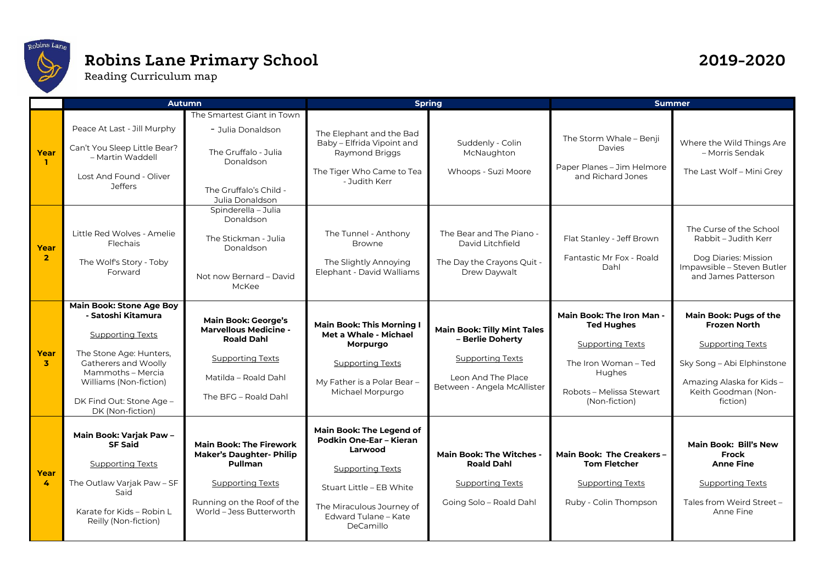

## **Robins Lane Primary School 2019-2020**

Reading Curriculum map

## **Autumn Spring Summer Year 1** Peace At Last - Jill Murphy Can't You Sleep Little Bear? – Martin Waddell Lost And Found - Oliver **Jeffers** The Smartest Giant in Town - Julia Donaldson The Gruffalo - Julia Donaldson The Gruffalo's Child - Julia Donaldson The Elephant and the Bad Baby – Elfrida Vipoint and Raymond Briggs The Tiger Who Came to Tea - Judith Kerr Suddenly - Colin McNaughton Whoops - Suzi Moore The Storm Whale – Benji Davies Paper Planes – Jim Helmore and Richard Jones Where the Wild Things Are – Morris Sendak The Last Wolf – Mini Grey **Year 2** Little Red Wolves - Amelie Flechais The Wolf's Story - Toby Forward Spinderella – Julia Donaldson The Stickman - Julia Donaldson Not now Bernard – David McKee The Tunnel - Anthony Browne The Slightly Annoying Elephant - David Walliams The Bear and The Piano - David Litchfield The Day the Crayons Quit - Drew Daywalt Flat Stanley - Jeff Brown Fantastic Mr Fox - Roald Dahl The Curse of the School Rabbit – Judith Kerr Dog Diaries: Mission Impawsible – Steven Butler and James Patterson **Year 3 Main Book: Stone Age Boy - Satoshi Kitamura** Supporting Texts The Stone Age: Hunters, Gatherers and Woolly Mammoths – Mercia Williams (Non-fiction) DK Find Out: Stone Age – DK (Non-fiction) **Main Book: George's Marvellous Medicine - Roald Dahl** Supporting Texts Matilda – Roald Dahl The BFG – Roald Dahl **Main Book: This Morning I Met a Whale - Michael Morpurgo** Supporting Texts My Father is a Polar Bear – Michael Morpurgo **Main Book: Tilly Mint Tales – Berlie Doherty** Supporting Texts Leon And The Place Between - Angela McAllister **Main Book: The Iron Man - Ted Hughes** Supporting Texts The Iron Woman – Ted **Hughes** Robots – Melissa Stewart (Non-fiction) **Main Book: Pugs of the Frozen North** Supporting Texts Sky Song – Abi Elphinstone Amazing Alaska for Kids – Keith Goodman (Nonfiction) **Year 4 Main Book: Varjak Paw – SF Said** Supporting Texts The Outlaw Varjak Paw – SF Said Karate for Kids – Robin L Reilly (Non-fiction) **Main Book: The Firework Maker's Daughter- Philip Pullman** Supporting Texts Running on the Roof of the World – Jess Butterworth **Main Book: The Legend of Podkin One-Ear – Kieran Larwood** Supporting Texts Stuart Little – EB White The Miraculous Journey of Edward Tulane – Kate DeCamillo **Main Book: The Witches - Roald Dahl** Supporting Texts Going Solo – Roald Dahl **Main Book: The Creakers – Tom Fletcher** Supporting Texts Ruby - Colin Thompson **Main Book: Bill's New Frock Anne Fine** Supporting Texts Tales from Weird Street – Anne Fine